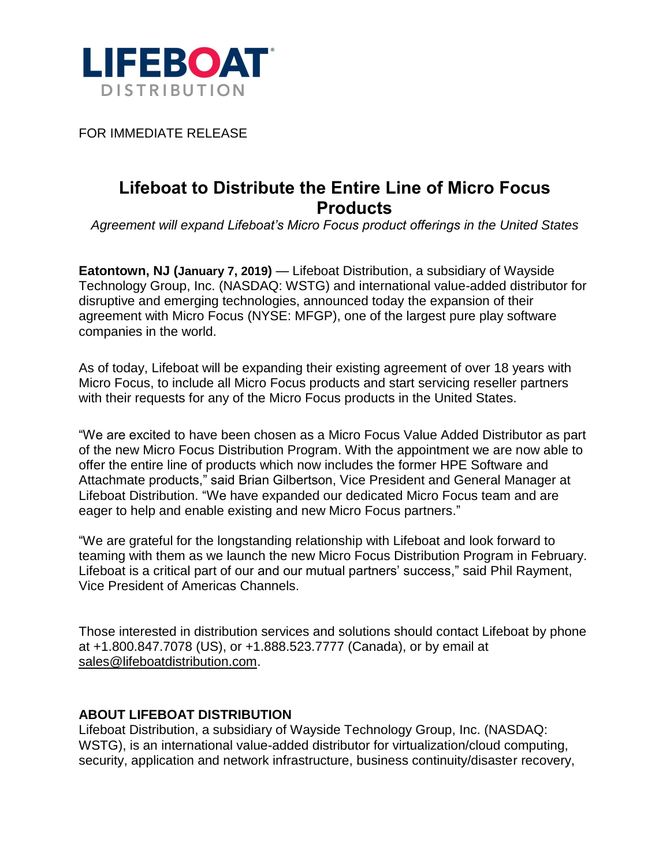

FOR IMMEDIATE RELEASE

## **Lifeboat to Distribute the Entire Line of Micro Focus Products**

*Agreement will expand Lifeboat's Micro Focus product offerings in the United States*

**Eatontown, NJ (January 7, 2019)** — Lifeboat Distribution, a subsidiary of Wayside Technology Group, Inc. (NASDAQ: WSTG) and international value-added distributor for disruptive and emerging technologies, announced today the expansion of their agreement with Micro Focus (NYSE: MFGP), one of the largest pure play software companies in the world.

As of today, Lifeboat will be expanding their existing agreement of over 18 years with Micro Focus, to include all Micro Focus products and start servicing reseller partners with their requests for any of the Micro Focus products in the United States.

"We are excited to have been chosen as a Micro Focus Value Added Distributor as part of the new Micro Focus Distribution Program. With the appointment we are now able to offer the entire line of products which now includes the former HPE Software and Attachmate products," said Brian Gilbertson, Vice President and General Manager at Lifeboat Distribution. "We have expanded our dedicated Micro Focus team and are eager to help and enable existing and new Micro Focus partners."

"We are grateful for the longstanding relationship with Lifeboat and look forward to teaming with them as we launch the new Micro Focus Distribution Program in February. Lifeboat is a critical part of our and our mutual partners' success," said Phil Rayment, Vice President of Americas Channels.

Those interested in distribution services and solutions should contact Lifeboat by phone at +1.800.847.7078 (US), or +1.888.523.7777 (Canada), or by email at [sales@lifeboatdistribution.com.](mailto:sales@lifeboatdistribution.com)

## **ABOUT LIFEBOAT DISTRIBUTION**

Lifeboat Distribution, a subsidiary of Wayside Technology Group, Inc. (NASDAQ: WSTG), is an international value-added distributor for virtualization/cloud computing, security, application and network infrastructure, business continuity/disaster recovery,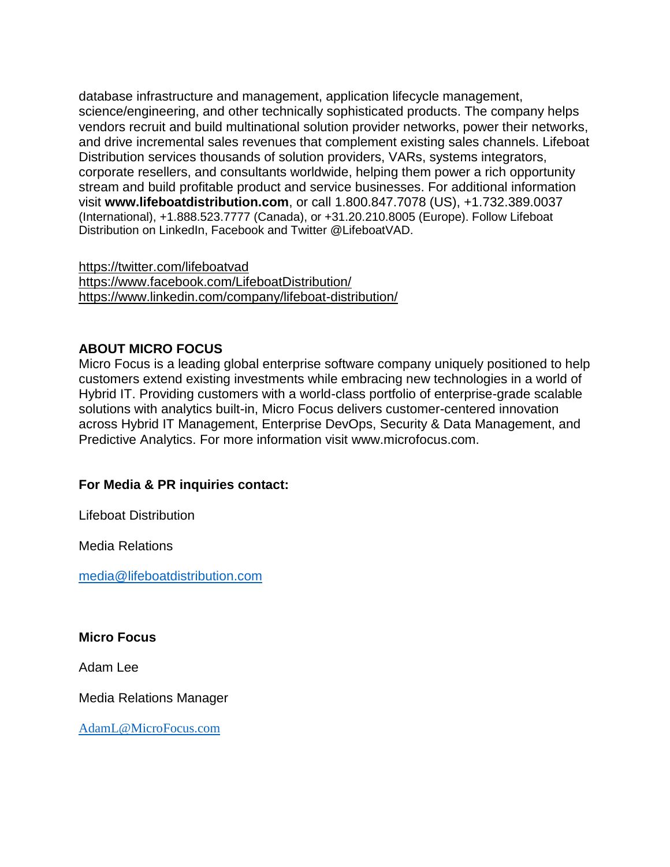database infrastructure and management, application lifecycle management, science/engineering, and other technically sophisticated products. The company helps vendors recruit and build multinational solution provider networks, power their networks, and drive incremental sales revenues that complement existing sales channels. Lifeboat Distribution services thousands of solution providers, VARs, systems integrators, corporate resellers, and consultants worldwide, helping them power a rich opportunity stream and build profitable product and service businesses. For additional information visit **[www.lifeboatdistribution.com](http://www.lifeboatdistribution.com/)**, or call 1.800.847.7078 (US), +1.732.389.0037 (International), +1.888.523.7777 (Canada), or +31.20.210.8005 (Europe). Follow Lifeboat Distribution on LinkedIn, Facebook and Twitter @LifeboatVAD.

<https://twitter.com/lifeboatvad> <https://www.facebook.com/LifeboatDistribution/> <https://www.linkedin.com/company/lifeboat-distribution/>

## **ABOUT MICRO FOCUS**

Micro Focus is a leading global enterprise software company uniquely positioned to help customers extend existing investments while embracing new technologies in a world of Hybrid IT. Providing customers with a world-class portfolio of enterprise-grade scalable solutions with analytics built-in, Micro Focus delivers customer-centered innovation across Hybrid IT Management, Enterprise DevOps, Security & Data Management, and Predictive Analytics. For more information visit [www.microfocus.com.](https://www.microfocus.com/)

## **For Media & PR inquiries contact:**

Lifeboat Distribution

Media Relations

[media@lifeboatdistribution.com](mailto:media@lifeboatdistribution.com)

**Micro Focus**

Adam Lee

Media Relations Manager

[AdamL@MicroFocus.com](mailto:AdamL@MicroFocus.com)